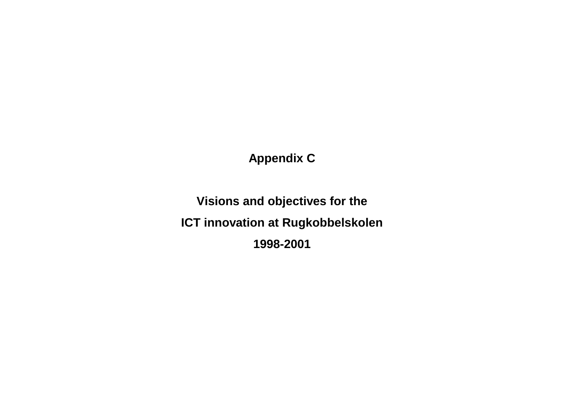**Appendix C**

**Visions and objectives for the ICT innovation at Rugkobbelskolen 1998-2001**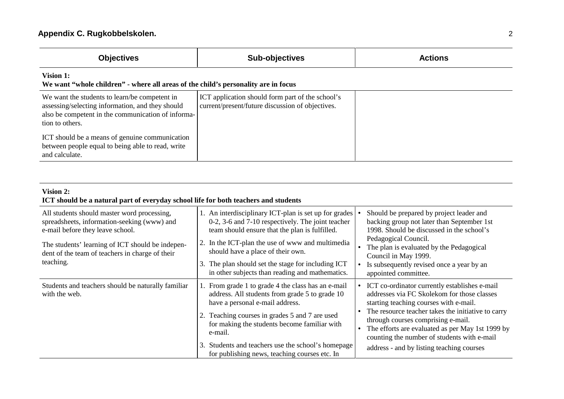| <b>Objectives</b>                                                                                                                                                          | Sub-objectives                                                                                       | <b>Actions</b> |
|----------------------------------------------------------------------------------------------------------------------------------------------------------------------------|------------------------------------------------------------------------------------------------------|----------------|
| Vision 1:<br>We want "whole children" - where all areas of the child's personality are in focus                                                                            |                                                                                                      |                |
| We want the students to learn/be competent in<br>assessing/selecting information, and they should<br>also be competent in the communication of informa-<br>tion to others. | ICT application should form part of the school's<br>current/present/future discussion of objectives. |                |
| ICT should be a means of genuine communication<br>between people equal to being able to read, write<br>and calculate.                                                      |                                                                                                      |                |

## **Vision 2: ICT should be a natural part of everyday school life for both teachers and students**

| All students should master word processing,<br>spreadsheets, information-seeking (www) and<br>e-mail before they leave school.<br>The students' learning of ICT should be indepen-<br>dent of the team of teachers in charge of their<br>teaching. | 1. An interdisciplinary ICT-plan is set up for grades<br>0-2, 3-6 and 7-10 respectively. The joint teacher<br>team should ensure that the plan is fulfilled.<br>2. In the ICT-plan the use of www and multimedia<br>should have a place of their own.<br>The plan should set the stage for including ICT<br>in other subjects than reading and mathematics. | Should be prepared by project leader and<br>backing group not later than September 1st<br>1998. Should be discussed in the school's<br>Pedagogical Council.<br>The plan is evaluated by the Pedagogical<br>Council in May 1999.<br>Is subsequently revised once a year by an<br>appointed committee.                                                                                            |
|----------------------------------------------------------------------------------------------------------------------------------------------------------------------------------------------------------------------------------------------------|-------------------------------------------------------------------------------------------------------------------------------------------------------------------------------------------------------------------------------------------------------------------------------------------------------------------------------------------------------------|-------------------------------------------------------------------------------------------------------------------------------------------------------------------------------------------------------------------------------------------------------------------------------------------------------------------------------------------------------------------------------------------------|
| Students and teachers should be naturally familiar<br>with the web.                                                                                                                                                                                | From grade 1 to grade 4 the class has an e-mail<br>address. All students from grade 5 to grade 10<br>have a personal e-mail address.<br>Teaching courses in grades 5 and 7 are used<br>for making the students become familiar with<br>e-mail.<br>Students and teachers use the school's homepage<br>3.<br>for publishing news, teaching courses etc. In    | ICT co-ordinator currently establishes e-mail<br>$\bullet$<br>addresses via FC Skolekom for those classes<br>starting teaching courses with e-mail.<br>The resource teacher takes the initiative to carry<br>through courses comprising e-mail.<br>The efforts are evaluated as per May 1st 1999 by<br>counting the number of students with e-mail<br>address - and by listing teaching courses |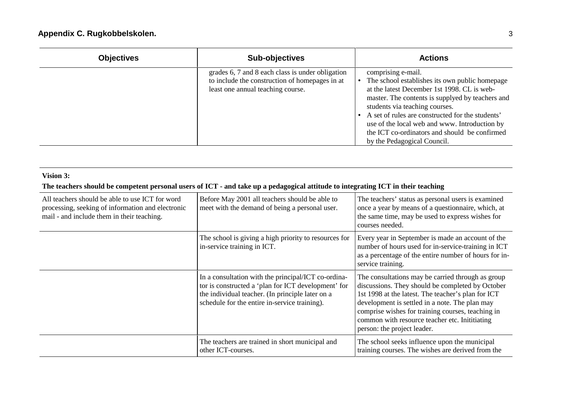| <b>Objectives</b> | <b>Sub-objectives</b>                                                                                                                   | <b>Actions</b>                                                                                                                                                                                                                                                                                                                                                                                 |
|-------------------|-----------------------------------------------------------------------------------------------------------------------------------------|------------------------------------------------------------------------------------------------------------------------------------------------------------------------------------------------------------------------------------------------------------------------------------------------------------------------------------------------------------------------------------------------|
|                   | grades 6, 7 and 8 each class is under obligation<br>to include the construction of homepages in at<br>least one annual teaching course. | comprising e-mail.<br>The school establishes its own public homepage<br>at the latest December 1st 1998. CL is web-<br>master. The contents is supplyed by teachers and<br>students via teaching courses.<br>A set of rules are constructed for the students'<br>use of the local web and www. Introduction by<br>the ICT co-ordinators and should be confirmed<br>by the Pedagogical Council. |

## **Vision 3:**

## **The teachers should be competent personal users of ICT - and take up a pedagogical attitude to integrating ICT in their teaching**

| All teachers should be able to use ICT for word<br>processing, seeking of information and electronic<br>mail - and include them in their teaching. | Before May 2001 all teachers should be able to<br>meet with the demand of being a personal user.                                                                                                                | The teachers' status as personal users is examined<br>once a year by means of a questionnaire, which, at<br>the same time, may be used to express wishes for<br>courses needed.                                                                                                                                                                   |
|----------------------------------------------------------------------------------------------------------------------------------------------------|-----------------------------------------------------------------------------------------------------------------------------------------------------------------------------------------------------------------|---------------------------------------------------------------------------------------------------------------------------------------------------------------------------------------------------------------------------------------------------------------------------------------------------------------------------------------------------|
|                                                                                                                                                    | The school is giving a high priority to resources for<br>in-service training in ICT.                                                                                                                            | Every year in September is made an account of the<br>number of hours used for in-service-training in ICT<br>as a percentage of the entire number of hours for in-<br>service training.                                                                                                                                                            |
|                                                                                                                                                    | In a consultation with the principal/ICT co-ordina-<br>tor is constructed a 'plan for ICT development' for<br>the individual teacher. (In principle later on a<br>schedule for the entire in-service training). | The consultations may be carried through as group<br>discussions. They should be completed by October<br>1st 1998 at the latest. The teacher's plan for ICT<br>development is settled in a note. The plan may<br>comprise wishes for training courses, teaching in<br>common with resource teacher etc. Initiating<br>person: the project leader. |
|                                                                                                                                                    | The teachers are trained in short municipal and<br>other ICT-courses.                                                                                                                                           | The school seeks influence upon the municipal<br>training courses. The wishes are derived from the                                                                                                                                                                                                                                                |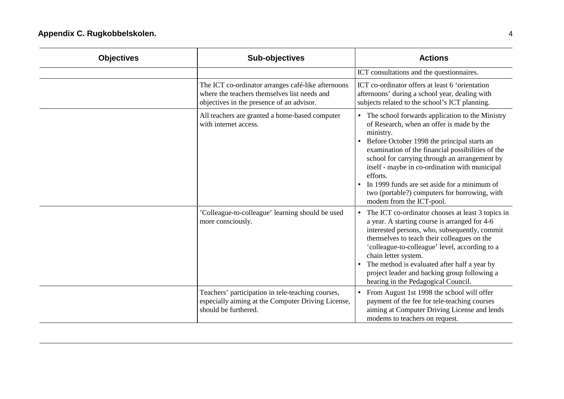| <b>Objectives</b> | <b>Sub-objectives</b>                                                                                                                           | <b>Actions</b>                                                                                                                                                                                                                                                                                                                                                                                                                                              |
|-------------------|-------------------------------------------------------------------------------------------------------------------------------------------------|-------------------------------------------------------------------------------------------------------------------------------------------------------------------------------------------------------------------------------------------------------------------------------------------------------------------------------------------------------------------------------------------------------------------------------------------------------------|
|                   |                                                                                                                                                 | ICT consultations and the questionnaires.                                                                                                                                                                                                                                                                                                                                                                                                                   |
|                   | The ICT co-ordinator arranges café-like afternoons<br>where the teachers themselves list needs and<br>objectives in the presence of an advisor. | ICT co-ordinator offers at least 6 'orientation<br>afternoons' during a school year, dealing with<br>subjects related to the school's ICT planning.                                                                                                                                                                                                                                                                                                         |
|                   | All teachers are granted a home-based computer<br>with internet access.                                                                         | • The school forwards application to the Ministry<br>of Research, when an offer is made by the<br>ministry.<br>Before October 1998 the principal starts an<br>examination of the financial possibilities of the<br>school for carrying through an arrangement by<br>itself - maybe in co-ordination with municipal<br>efforts.<br>In 1999 funds are set aside for a minimum of<br>two (portable?) computers for borrowing, with<br>modem from the ICT-pool. |
|                   | 'Colleague-to-colleague' learning should be used<br>more consciously.                                                                           | The ICT co-ordinator chooses at least 3 topics in<br>$\bullet$<br>a year. A starting course is arranged for 4-6<br>interested persons, who, subsequently, commit<br>themselves to teach their colleagues on the<br>'colleague-to-colleague' level, according to a<br>chain letter system.<br>The method is evaluated after half a year by<br>project leader and backing group following a<br>hearing in the Pedagogical Council.                            |
|                   | Teachers' participation in tele-teaching courses,<br>especially aiming at the Computer Driving License,<br>should be furthered.                 | From August 1st 1998 the school will offer<br>$\bullet$<br>payment of the fee for tele-teaching courses<br>aiming at Computer Driving License and lends<br>modems to teachers on request.                                                                                                                                                                                                                                                                   |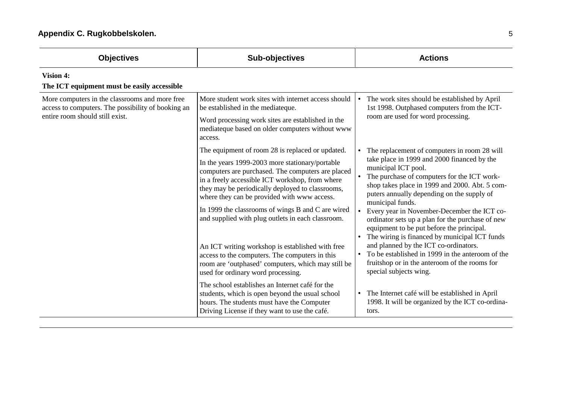| <b>Objectives</b>                                                                                                                       | <b>Sub-objectives</b>                                                                                                                                                                                                                                                                                                                                                                                                                                                                                                                                                                                                      | <b>Actions</b>                                                                                                                                                                                                                                                                                                                                                                                                                                                                                                                                                                                                                                                                           |
|-----------------------------------------------------------------------------------------------------------------------------------------|----------------------------------------------------------------------------------------------------------------------------------------------------------------------------------------------------------------------------------------------------------------------------------------------------------------------------------------------------------------------------------------------------------------------------------------------------------------------------------------------------------------------------------------------------------------------------------------------------------------------------|------------------------------------------------------------------------------------------------------------------------------------------------------------------------------------------------------------------------------------------------------------------------------------------------------------------------------------------------------------------------------------------------------------------------------------------------------------------------------------------------------------------------------------------------------------------------------------------------------------------------------------------------------------------------------------------|
| <b>Vision 4:</b><br>The ICT equipment must be easily accessible                                                                         |                                                                                                                                                                                                                                                                                                                                                                                                                                                                                                                                                                                                                            |                                                                                                                                                                                                                                                                                                                                                                                                                                                                                                                                                                                                                                                                                          |
| More computers in the classrooms and more free<br>access to computers. The possibility of booking an<br>entire room should still exist. | More student work sites with internet access should<br>be established in the mediateque.<br>Word processing work sites are established in the<br>mediateque based on older computers without www<br>access.                                                                                                                                                                                                                                                                                                                                                                                                                | The work sites should be established by April<br>$\bullet$<br>1st 1998. Outphased computers from the ICT-<br>room are used for word processing.                                                                                                                                                                                                                                                                                                                                                                                                                                                                                                                                          |
|                                                                                                                                         | The equipment of room 28 is replaced or updated.<br>In the years 1999-2003 more stationary/portable<br>computers are purchased. The computers are placed<br>in a freely accessible ICT workshop, from where<br>they may be periodically deployed to classrooms,<br>where they can be provided with www access.<br>In 1999 the classrooms of wings B and C are wired<br>and supplied with plug outlets in each classroom.<br>An ICT writing workshop is established with free<br>access to the computers. The computers in this<br>room are 'outphased' computers, which may still be<br>used for ordinary word processing. | The replacement of computers in room 28 will<br>$\bullet$<br>take place in 1999 and 2000 financed by the<br>municipal ICT pool.<br>The purchase of computers for the ICT work-<br>$\bullet$<br>shop takes place in 1999 and 2000. Abt. 5 com-<br>puters annually depending on the supply of<br>municipal funds.<br>Every year in November-December the ICT co-<br>ordinator sets up a plan for the purchase of new<br>equipment to be put before the principal.<br>The wiring is financed by municipal ICT funds<br>and planned by the ICT co-ordinators.<br>To be established in 1999 in the anteroom of the<br>fruitshop or in the anteroom of the rooms for<br>special subjects wing. |
|                                                                                                                                         | The school establishes an Internet café for the<br>students, which is open beyond the usual school<br>hours. The students must have the Computer<br>Driving License if they want to use the café.                                                                                                                                                                                                                                                                                                                                                                                                                          | The Internet café will be established in April<br>1998. It will be organized by the ICT co-ordina-<br>tors.                                                                                                                                                                                                                                                                                                                                                                                                                                                                                                                                                                              |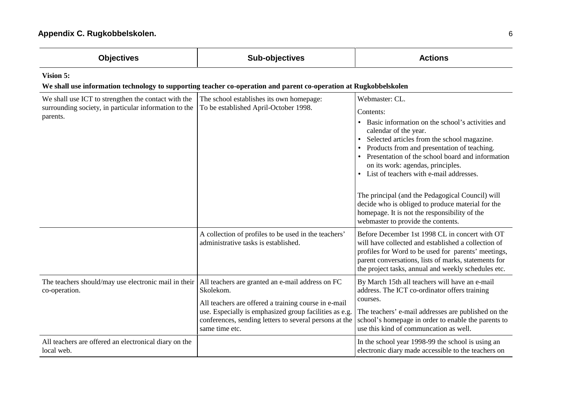| <b>Objectives</b>                                                                                                              | <b>Sub-objectives</b>                                                                                                                                                                                                                                       | <b>Actions</b>                                                                                                                                                                                                                                                                                                                                                                                                                                                                                                                             |  |
|--------------------------------------------------------------------------------------------------------------------------------|-------------------------------------------------------------------------------------------------------------------------------------------------------------------------------------------------------------------------------------------------------------|--------------------------------------------------------------------------------------------------------------------------------------------------------------------------------------------------------------------------------------------------------------------------------------------------------------------------------------------------------------------------------------------------------------------------------------------------------------------------------------------------------------------------------------------|--|
| Vision 5:<br>We shall use information technology to supporting teacher co-operation and parent co-operation at Rugkobbelskolen |                                                                                                                                                                                                                                                             |                                                                                                                                                                                                                                                                                                                                                                                                                                                                                                                                            |  |
| We shall use ICT to strengthen the contact with the<br>surrounding society, in particular information to the<br>parents.       | The school establishes its own homepage:<br>To be established April-October 1998.                                                                                                                                                                           | Webmaster: CL.<br>Contents:<br>Basic information on the school's activities and<br>calendar of the year.<br>Selected articles from the school magazine.<br>Products from and presentation of teaching.<br>Presentation of the school board and information<br>on its work: agendas, principles.<br>List of teachers with e-mail addresses.<br>The principal (and the Pedagogical Council) will<br>decide who is obliged to produce material for the<br>homepage. It is not the responsibility of the<br>webmaster to provide the contents. |  |
|                                                                                                                                | A collection of profiles to be used in the teachers'<br>administrative tasks is established.                                                                                                                                                                | Before December 1st 1998 CL in concert with OT<br>will have collected and established a collection of<br>profiles for Word to be used for parents' meetings,<br>parent conversations, lists of marks, statements for<br>the project tasks, annual and weekly schedules etc.                                                                                                                                                                                                                                                                |  |
| The teachers should/may use electronic mail in their<br>co-operation.                                                          | All teachers are granted an e-mail address on FC<br>Skolekom.<br>All teachers are offered a training course in e-mail<br>use. Especially is emphasized group facilities as e.g.<br>conferences, sending letters to several persons at the<br>same time etc. | By March 15th all teachers will have an e-mail<br>address. The ICT co-ordinator offers training<br>courses.<br>The teachers' e-mail addresses are published on the<br>school's homepage in order to enable the parents to<br>use this kind of communcation as well.                                                                                                                                                                                                                                                                        |  |
| All teachers are offered an electronical diary on the<br>local web.                                                            |                                                                                                                                                                                                                                                             | In the school year 1998-99 the school is using an<br>electronic diary made accessible to the teachers on                                                                                                                                                                                                                                                                                                                                                                                                                                   |  |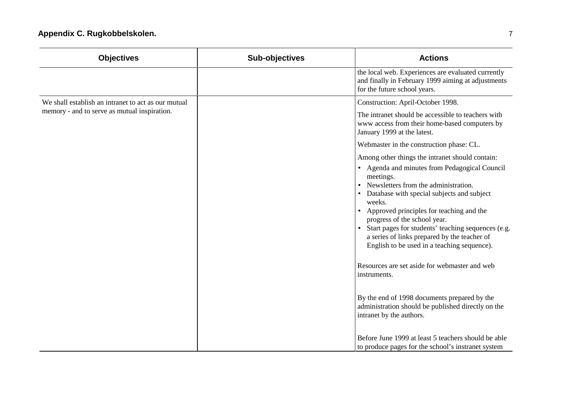| <b>Objectives</b>                                   | <b>Sub-objectives</b> | <b>Actions</b>                                                                                                                                                                                                                                                                                                                                                                                                                                                            |
|-----------------------------------------------------|-----------------------|---------------------------------------------------------------------------------------------------------------------------------------------------------------------------------------------------------------------------------------------------------------------------------------------------------------------------------------------------------------------------------------------------------------------------------------------------------------------------|
|                                                     |                       | the local web. Experiences are evaluated currently<br>and finally in February 1999 aiming at adjustments<br>for the future school years.                                                                                                                                                                                                                                                                                                                                  |
| We shall establish an intranet to act as our mutual |                       | Construction: April-October 1998.                                                                                                                                                                                                                                                                                                                                                                                                                                         |
| memory - and to serve as mutual inspiration.        |                       | The intranet should be accessible to teachers with<br>www access from their home-based computers by<br>January 1999 at the latest.                                                                                                                                                                                                                                                                                                                                        |
|                                                     |                       | Webmaster in the construction phase: CL.                                                                                                                                                                                                                                                                                                                                                                                                                                  |
|                                                     |                       | Among other things the intranet should contain:                                                                                                                                                                                                                                                                                                                                                                                                                           |
|                                                     |                       | • Agenda and minutes from Pedagogical Council<br>meetings.<br>Newsletters from the administration.<br>Database with special subjects and subject<br>weeks.<br>Approved principles for teaching and the<br>progress of the school year.<br>Start pages for students' teaching sequences (e.g.<br>$\bullet$<br>a series of links prepared by the teacher of<br>English to be used in a teaching sequence).<br>Resources are set aside for webmaster and web<br>instruments. |
|                                                     |                       | By the end of 1998 documents prepared by the<br>administration should be published directly on the<br>intranet by the authors.<br>Before June 1999 at least 5 teachers should be able<br>to produce pages for the school's instranet system                                                                                                                                                                                                                               |